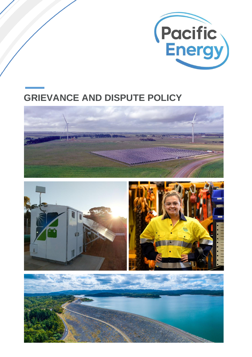

# **GRIEVANCE AND DISPUTE POLICY**





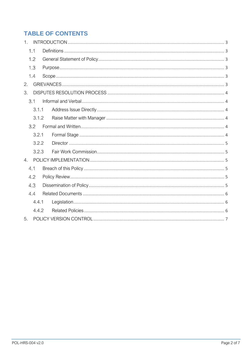# **TABLE OF CONTENTS**

| 1.  |       |  |  |  |
|-----|-------|--|--|--|
|     | 1.1   |  |  |  |
|     | 1.2   |  |  |  |
| 1.3 |       |  |  |  |
|     | 1.4   |  |  |  |
| 2.  |       |  |  |  |
| 3.  |       |  |  |  |
|     | 3.1   |  |  |  |
|     | 3.1.1 |  |  |  |
|     | 3.1.2 |  |  |  |
|     | 3.2   |  |  |  |
|     | 3.2.1 |  |  |  |
|     | 3.2.2 |  |  |  |
|     | 3.2.3 |  |  |  |
| 4.  |       |  |  |  |
|     | 4.1   |  |  |  |
|     | 4.2   |  |  |  |
|     | 4.3   |  |  |  |
|     | 4.4   |  |  |  |
|     | 4.4.1 |  |  |  |
|     | 4.4.2 |  |  |  |
| 5.  |       |  |  |  |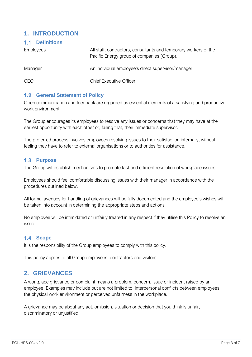# <span id="page-2-0"></span>**1. INTRODUCTION**

#### <span id="page-2-1"></span>**Definitions**

| Employees  | All staff, contractors, consultants and temporary workers of the<br>Pacific Energy group of companies (Group). |
|------------|----------------------------------------------------------------------------------------------------------------|
| Manager    | An individual employee's direct supervisor/manager                                                             |
| <b>CEO</b> | <b>Chief Executive Officer</b>                                                                                 |

#### <span id="page-2-2"></span>**1.2 General Statement of Policy**

Open communication and feedback are regarded as essential elements of a satisfying and productive work environment.

The Group encourages its employees to resolve any issues or concerns that they may have at the earliest opportunity with each other or, failing that, their immediate supervisor.

The preferred process involves employees resolving issues to their satisfaction internally, without feeling they have to refer to external organisations or to authorities for assistance.

#### <span id="page-2-3"></span>**Purpose**

The Group will establish mechanisms to promote fast and efficient resolution of workplace issues.

Employees should feel comfortable discussing issues with their manager in accordance with the procedures outlined below.

All formal avenues for handling of grievances will be fully documented and the employee's wishes will be taken into account in determining the appropriate steps and actions.

No employee will be intimidated or unfairly treated in any respect if they utilise this Policy to resolve an issue.

#### <span id="page-2-4"></span>1.4 Scope

It is the responsibility of the Group employees to comply with this policy.

This policy applies to all Group employees, contractors and visitors.

# <span id="page-2-5"></span>**2. GRIEVANCES**

A workplace grievance or complaint means a problem, concern, issue or incident raised by an employee. Examples may include but are not limited to: interpersonal conflicts between employees, the physical work environment or perceived unfairness in the workplace.

A grievance may be about any act, omission, situation or decision that you think is unfair, discriminatory or unjustified.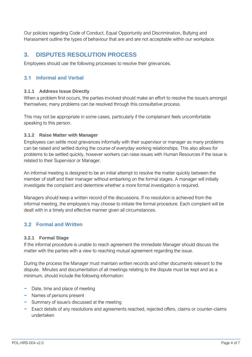Our policies regarding Code of Conduct, Equal Opportunity and Discrimination, Bullying and Harassment outline the types of behaviour that are and are not acceptable within our workplace.

# <span id="page-3-0"></span>**3. DISPUTES RESOLUTION PROCESS**

Employees should use the following processes to resolve their grievances.

### <span id="page-3-1"></span>**Informal and Verbal**

#### <span id="page-3-2"></span>**3.1.1 Address Issue Directly**

When a problem first occurs, the parties involved should make an effort to resolve the issue/s amongst themselves; many problems can be resolved through this consultative process.

This may not be appropriate in some cases, particularly if the complainant feels uncomfortable speaking to this person.

#### <span id="page-3-3"></span>**3.1.2 Raise Matter with Manager**

Employees can settle most grievances informally with their supervisor or manager as many problems can be raised and settled during the course of everyday working relationships. This also allows for problems to be settled quickly, however workers can raise issues with Human Resources if the issue is related to their Supervisor or Manager.

An informal meeting is designed to be an initial attempt to resolve the matter quickly between the member of staff and their manager without embarking on the formal stages. A manager will initially investigate the complaint and determine whether a more formal investigation is required.

Managers should keep a written record of the discussions. If no resolution is achieved from the informal meeting, the employee/s may choose to initiate the formal procedure. Each complaint will be dealt with in a timely and effective manner given all circumstances.

### <span id="page-3-4"></span>**Formal and Written**

#### <span id="page-3-5"></span>**3.2.1 Formal Stage**

If the informal procedure is unable to reach agreement the immediate Manager should discuss the matter with the parties with a view to reaching mutual agreement regarding the issue.

During the process the Manager must maintain written records and other documents relevant to the dispute. Minutes and documentation of all meetings relating to the dispute must be kept and as a minimum, should include the following information:

- − Date, time and place of meeting
- − Names of persons present
- − Summary of issue/s discussed at the meeting
- − Exact details of any resolutions and agreements reached, rejected offers, claims or counter-claims undertaken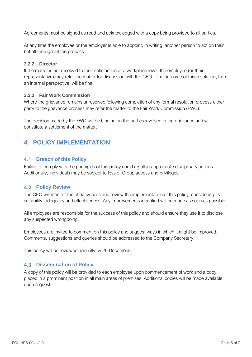Agreements must be signed as read and acknowledged with a copy being provided to all parties.

At any time the employee or the employer is able to appoint, in writing, another person to act on their behalf throughout the process.

#### <span id="page-4-0"></span>**3.2.2 Director**

If the matter is not resolved to their satisfaction at a workplace level, the employee (or their representative) may refer the matter for discussion with the CEO. The outcome of this resolution, from an internal perspective, will be final.

#### <span id="page-4-1"></span>**3.2.3 Fair Work Commission**

Where the grievance remains unresolved following completion of any formal resolution process either party to the grievance process may refer the matter to the Fair Work Commission (FWC).

The decision made by the FWC will be binding on the parties involved in the grievance and will constitute a settlement of the matter.

# <span id="page-4-2"></span>**4. POLICY IMPLEMENTATION**

#### <span id="page-4-3"></span>**Breach of this Policy**

Failure to comply with the principles of this policy could result in appropriate disciplinary actions. Additionally, individuals may be subject to loss of Group access and privileges.

#### <span id="page-4-4"></span>**4.2 Policy Review**

The CEO will monitor the effectiveness and review the implementation of this policy, considering its suitability, adequacy and effectiveness. Any improvements identified will be made as soon as possible.

All employees are responsible for the success of this policy and should ensure they use it to disclose any suspected wrongdoing.

Employees are invited to comment on this policy and suggest ways in which it might be improved. Comments, suggestions and queries should be addressed to the Company Secretary.

This policy will be reviewed annually by 20 December.

#### <span id="page-4-5"></span>**4.3 Dissemination of Policy**

A copy of this policy will be provided to each employee upon commencement of work and a copy placed in a prominent position in all main areas of premises. Additional copies will be made available upon request.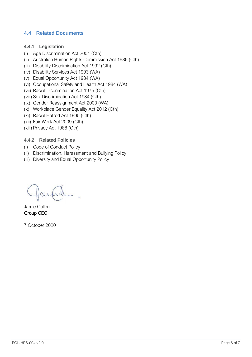#### <span id="page-5-0"></span>**4.4 Related Documents**

#### <span id="page-5-1"></span>**4.4.1 Legislation**

- (i) Age Discrimination Act 2004 (Cth)
- (ii) Australian Human Rights Commission Act 1986 (Cth)
- (iii) Disability Discrimination Act 1992 (Cth)
- (iv) Disability Services Act 1993 (WA)
- (v) Equal Opportunity Act 1984 (WA)
- (vi) Occupational Safety and Health Act 1984 (WA)
- (vii) Racial Discrimination Act 1975 (Cth)
- (viii) Sex Discrimination Act 1984 (Cth)
- (ix) Gender Reassignment Act 2000 (WA)
- (x) Workplace Gender Equality Act 2012 (Cth)
- (xi) Racial Hatred Act 1995 (Cth)
- (xii) Fair Work Act 2009 (Cth)
- (xiii) Privacy Act 1988 (Cth)

#### <span id="page-5-2"></span>**4.4.2 Related Policies**

- (i) Code of Conduct Policy
- (ii) Discrimination, Harassment and Bullying Policy
- (iii) Diversity and Equal Opportunity Policy

Jamie Cullen Group CEO

7 October 2020